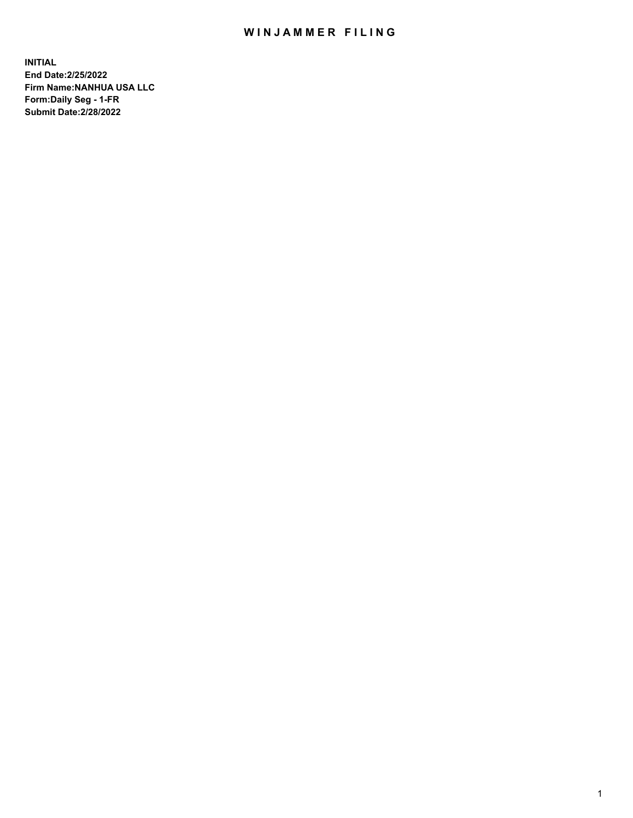## WIN JAMMER FILING

**INITIAL End Date:2/25/2022 Firm Name:NANHUA USA LLC Form:Daily Seg - 1-FR Submit Date:2/28/2022**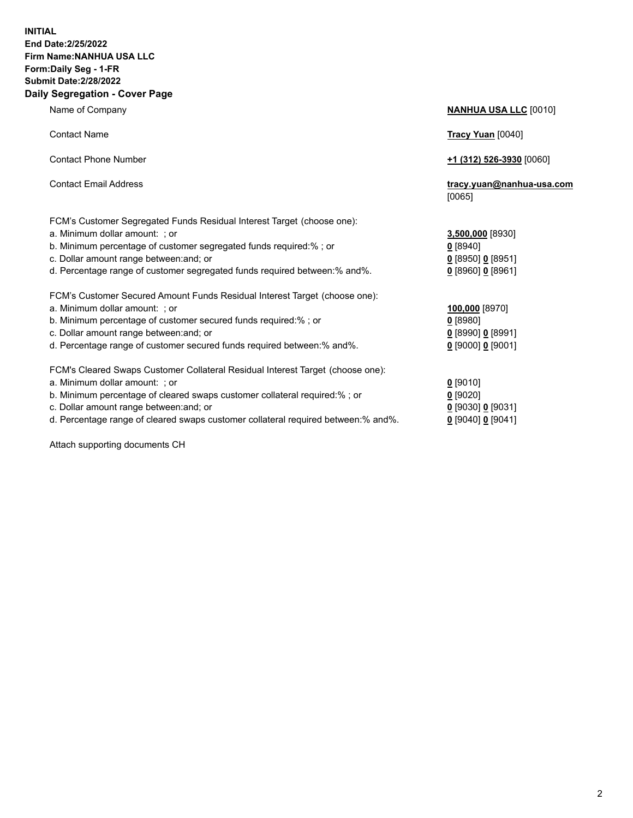## **INITIAL End Date:2/25/2022 Firm Name:NANHUA USA LLC Form:Daily Seg - 1-FR Submit Date:2/28/2022 Daily Segregation - Cover Page**

Name of Company **NANHUA USA LLC** [0010] Contact Name **Tracy Yuan** [0040] Contact Phone Number **+1 (312) 526-3930** [0060] Contact Email Address **tracy.yuan@nanhua-usa.com** [0065] FCM's Customer Segregated Funds Residual Interest Target (choose one): a. Minimum dollar amount: ; or **3,500,000** [8930] b. Minimum percentage of customer segregated funds required:% ; or **0** [8940] c. Dollar amount range between:and; or **0** [8950] **0** [8951] d. Percentage range of customer segregated funds required between:% and%. **0** [8960] **0** [8961] FCM's Customer Secured Amount Funds Residual Interest Target (choose one): a. Minimum dollar amount: ; or **100,000** [8970] b. Minimum percentage of customer secured funds required:% ; or **0** [8980] c. Dollar amount range between:and; or **0** [8990] **0** [8991] d. Percentage range of customer secured funds required between:% and%. **0** [9000] **0** [9001] FCM's Cleared Swaps Customer Collateral Residual Interest Target (choose one): a. Minimum dollar amount: ; or **0** [9010] b. Minimum percentage of cleared swaps customer collateral required:% ; or **0** [9020] c. Dollar amount range between:and; or **0** [9030] **0** [9031] d. Percentage range of cleared swaps customer collateral required between:% and%. **0** [9040] **0** [9041]

Attach supporting documents CH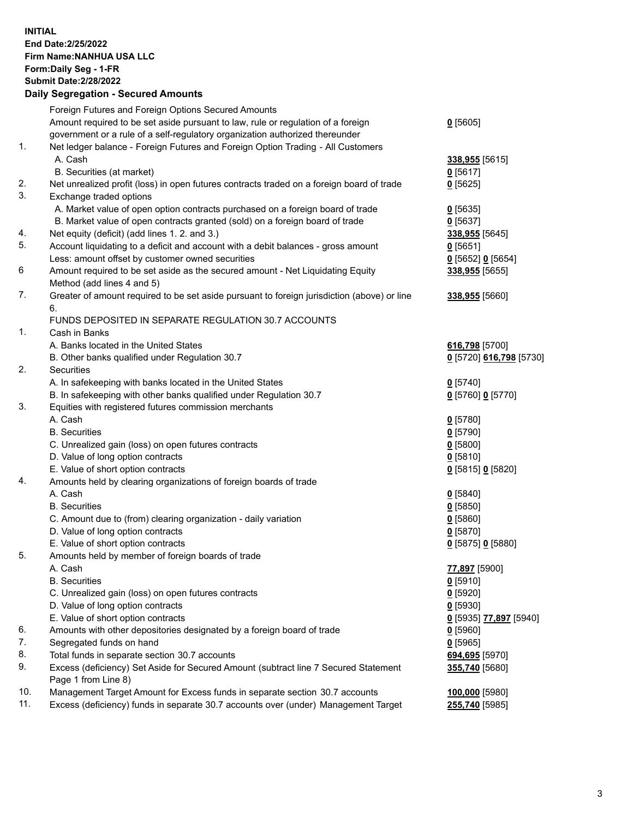**INITIAL End Date:2/25/2022 Firm Name:NANHUA USA LLC Form:Daily Seg - 1-FR Submit Date:2/28/2022**

## **Daily Segregation - Secured Amounts**

|     | Foreign Futures and Foreign Options Secured Amounts                                         |                                      |
|-----|---------------------------------------------------------------------------------------------|--------------------------------------|
|     | Amount required to be set aside pursuant to law, rule or regulation of a foreign            | $0$ [5605]                           |
|     | government or a rule of a self-regulatory organization authorized thereunder                |                                      |
| 1.  | Net ledger balance - Foreign Futures and Foreign Option Trading - All Customers             |                                      |
|     | A. Cash                                                                                     | 338,955 [5615]                       |
|     | B. Securities (at market)                                                                   | $0$ [5617]                           |
| 2.  | Net unrealized profit (loss) in open futures contracts traded on a foreign board of trade   | $0$ [5625]                           |
| 3.  | Exchange traded options                                                                     |                                      |
|     | A. Market value of open option contracts purchased on a foreign board of trade              | $0$ [5635]                           |
|     | B. Market value of open contracts granted (sold) on a foreign board of trade                | $0$ [5637]                           |
| 4.  | Net equity (deficit) (add lines 1. 2. and 3.)                                               | 338,955 [5645]                       |
| 5.  | Account liquidating to a deficit and account with a debit balances - gross amount           | $0$ [5651]                           |
|     | Less: amount offset by customer owned securities                                            | 0 [5652] 0 [5654]                    |
| 6   | Amount required to be set aside as the secured amount - Net Liquidating Equity              | 338,955 [5655]                       |
|     | Method (add lines 4 and 5)                                                                  |                                      |
| 7.  | Greater of amount required to be set aside pursuant to foreign jurisdiction (above) or line | 338,955 [5660]                       |
|     | 6.                                                                                          |                                      |
|     | FUNDS DEPOSITED IN SEPARATE REGULATION 30.7 ACCOUNTS                                        |                                      |
| 1.  | Cash in Banks                                                                               |                                      |
|     | A. Banks located in the United States                                                       | 616,798 [5700]                       |
|     | B. Other banks qualified under Regulation 30.7                                              | <u>0</u> [5720] 616,798 [5730]       |
| 2.  | <b>Securities</b>                                                                           |                                      |
|     | A. In safekeeping with banks located in the United States                                   | $0$ [5740]                           |
|     | B. In safekeeping with other banks qualified under Regulation 30.7                          | 0 [5760] 0 [5770]                    |
| 3.  | Equities with registered futures commission merchants                                       |                                      |
|     | A. Cash                                                                                     | $0$ [5780]                           |
|     | <b>B.</b> Securities                                                                        | $0$ [5790]                           |
|     | C. Unrealized gain (loss) on open futures contracts                                         | $0$ [5800]                           |
|     | D. Value of long option contracts                                                           | $0$ [5810]                           |
|     | E. Value of short option contracts                                                          | 0 [5815] 0 [5820]                    |
| 4.  | Amounts held by clearing organizations of foreign boards of trade                           |                                      |
|     | A. Cash                                                                                     | $0$ [5840]                           |
|     | <b>B.</b> Securities                                                                        | $0$ [5850]                           |
|     | C. Amount due to (from) clearing organization - daily variation                             | $0$ [5860]                           |
|     | D. Value of long option contracts                                                           | $0$ [5870]                           |
|     | E. Value of short option contracts                                                          | 0 [5875] 0 [5880]                    |
| 5.  | Amounts held by member of foreign boards of trade                                           |                                      |
|     | A. Cash                                                                                     | 77,897 [5900]                        |
|     | <b>B.</b> Securities                                                                        | $0$ [5910]                           |
|     | C. Unrealized gain (loss) on open futures contracts                                         | $0$ [5920]                           |
|     | D. Value of long option contracts                                                           | $0$ [5930]                           |
|     | E. Value of short option contracts                                                          | <u>0</u> [5935] <u>77,897</u> [5940] |
| 6.  | Amounts with other depositories designated by a foreign board of trade                      | $0$ [5960]                           |
| 7.  | Segregated funds on hand                                                                    | $0$ [5965]                           |
| 8.  | Total funds in separate section 30.7 accounts                                               | 694,695 [5970]                       |
| 9.  | Excess (deficiency) Set Aside for Secured Amount (subtract line 7 Secured Statement         | 355,740 [5680]                       |
|     | Page 1 from Line 8)                                                                         |                                      |
| 10. | Management Target Amount for Excess funds in separate section 30.7 accounts                 | 100,000 [5980]                       |
| 11. | Excess (deficiency) funds in separate 30.7 accounts over (under) Management Target          | 255,740 [5985]                       |
|     |                                                                                             |                                      |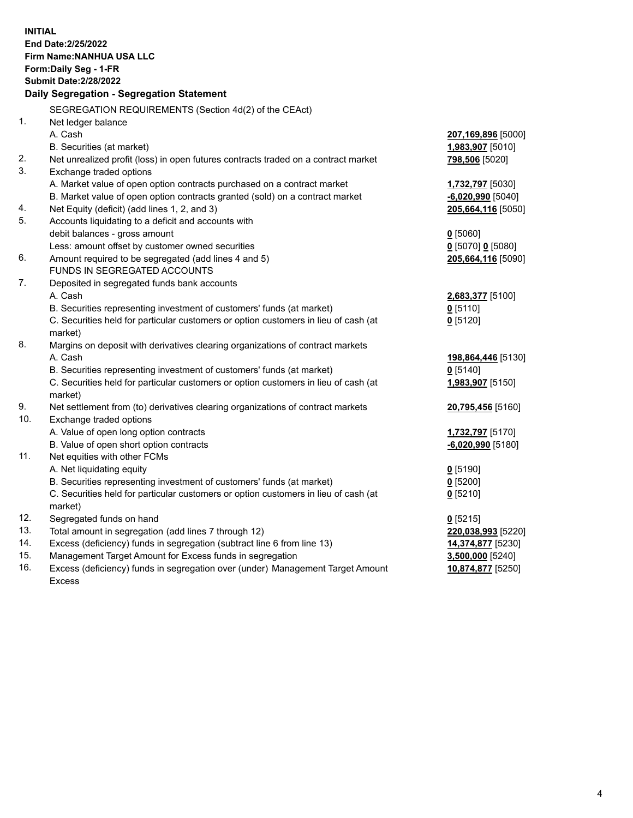| <b>INITIAL</b> | End Date: 2/25/2022<br>Firm Name: NANHUA USA LLC<br>Form: Daily Seg - 1-FR<br><b>Submit Date: 2/28/2022</b><br>Daily Segregation - Segregation Statement |                         |
|----------------|----------------------------------------------------------------------------------------------------------------------------------------------------------|-------------------------|
|                | SEGREGATION REQUIREMENTS (Section 4d(2) of the CEAct)                                                                                                    |                         |
| $\mathbf{1}$ . | Net ledger balance                                                                                                                                       |                         |
|                | A. Cash                                                                                                                                                  | 207,169,896 [5000]      |
|                | B. Securities (at market)                                                                                                                                | 1,983,907 [5010]        |
| 2.             | Net unrealized profit (loss) in open futures contracts traded on a contract market                                                                       | 798,506 [5020]          |
| 3.             | Exchange traded options                                                                                                                                  |                         |
|                | A. Market value of open option contracts purchased on a contract market                                                                                  | 1,732,797 [5030]        |
|                | B. Market value of open option contracts granted (sold) on a contract market                                                                             | $-6,020,990$ [5040]     |
| 4.             | Net Equity (deficit) (add lines 1, 2, and 3)                                                                                                             | 205,664,116 [5050]      |
| 5.             | Accounts liquidating to a deficit and accounts with                                                                                                      |                         |
|                | debit balances - gross amount                                                                                                                            | $0$ [5060]              |
|                | Less: amount offset by customer owned securities                                                                                                         | $0$ [5070] 0 [5080]     |
| 6.             | Amount required to be segregated (add lines 4 and 5)                                                                                                     | 205,664,116 [5090]      |
|                | FUNDS IN SEGREGATED ACCOUNTS                                                                                                                             |                         |
| 7.             | Deposited in segregated funds bank accounts                                                                                                              |                         |
|                | A. Cash                                                                                                                                                  | 2,683,377 [5100]        |
|                | B. Securities representing investment of customers' funds (at market)                                                                                    | $0$ [5110]              |
|                | C. Securities held for particular customers or option customers in lieu of cash (at                                                                      | $0$ [5120]              |
| 8.             | market)<br>Margins on deposit with derivatives clearing organizations of contract markets                                                                |                         |
|                | A. Cash                                                                                                                                                  | 198,864,446 [5130]      |
|                | B. Securities representing investment of customers' funds (at market)                                                                                    | $0$ [5140]              |
|                | C. Securities held for particular customers or option customers in lieu of cash (at                                                                      | 1,983,907 [5150]        |
|                | market)                                                                                                                                                  |                         |
| 9.             | Net settlement from (to) derivatives clearing organizations of contract markets                                                                          | 20,795,456 [5160]       |
| 10.            | Exchange traded options                                                                                                                                  |                         |
|                | A. Value of open long option contracts                                                                                                                   | <u>1,732,797</u> [5170] |
|                | B. Value of open short option contracts                                                                                                                  | $-6,020,990$ [5180]     |
| 11.            | Net equities with other FCMs                                                                                                                             |                         |
|                | A. Net liquidating equity                                                                                                                                | $0$ [5190]              |
|                | B. Securities representing investment of customers' funds (at market)                                                                                    | 0 [5200]                |
|                | C. Securities held for particular customers or option customers in lieu of cash (at                                                                      | $0$ [5210]              |
|                | market)                                                                                                                                                  |                         |
| 12.            | Segregated funds on hand                                                                                                                                 | $0$ [5215]              |
| 13.            | Total amount in segregation (add lines 7 through 12)                                                                                                     | 220,038,993 [5220]      |
| 14.            | Excess (deficiency) funds in segregation (subtract line 6 from line 13)                                                                                  | 14,374,877 [5230]       |
| 15.            | Management Target Amount for Excess funds in segregation                                                                                                 | 3,500,000 [5240]        |
| 16.            | Excess (deficiency) funds in segregation over (under) Management Target Amount                                                                           | 10,874,877 [5250]       |
|                | <b>Excess</b>                                                                                                                                            |                         |